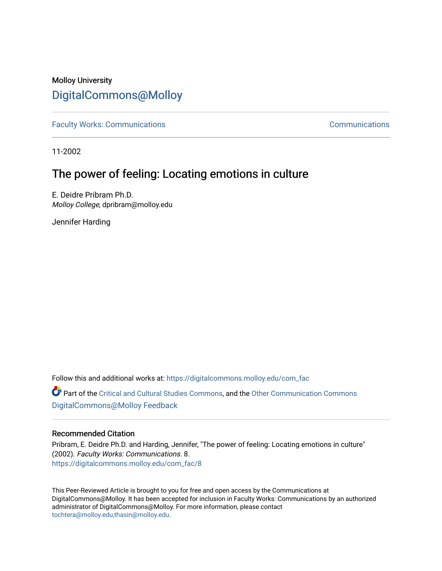# Molloy University [DigitalCommons@Molloy](https://digitalcommons.molloy.edu/)

[Faculty Works: Communications](https://digitalcommons.molloy.edu/com_fac) **Communications** Communications

11-2002

# The power of feeling: Locating emotions in culture

E. Deidre Pribram Ph.D. Molloy College, dpribram@molloy.edu

Jennifer Harding

Follow this and additional works at: [https://digitalcommons.molloy.edu/com\\_fac](https://digitalcommons.molloy.edu/com_fac?utm_source=digitalcommons.molloy.edu%2Fcom_fac%2F8&utm_medium=PDF&utm_campaign=PDFCoverPages) 

Part of the [Critical and Cultural Studies Commons](https://network.bepress.com/hgg/discipline/328?utm_source=digitalcommons.molloy.edu%2Fcom_fac%2F8&utm_medium=PDF&utm_campaign=PDFCoverPages), and the [Other Communication Commons](https://network.bepress.com/hgg/discipline/339?utm_source=digitalcommons.molloy.edu%2Fcom_fac%2F8&utm_medium=PDF&utm_campaign=PDFCoverPages)  [DigitalCommons@Molloy Feedback](https://molloy.libwizard.com/f/dcfeedback)

## Recommended Citation

Pribram, E. Deidre Ph.D. and Harding, Jennifer, "The power of feeling: Locating emotions in culture" (2002). Faculty Works: Communications. 8. [https://digitalcommons.molloy.edu/com\\_fac/8](https://digitalcommons.molloy.edu/com_fac/8?utm_source=digitalcommons.molloy.edu%2Fcom_fac%2F8&utm_medium=PDF&utm_campaign=PDFCoverPages) 

This Peer-Reviewed Article is brought to you for free and open access by the Communications at DigitalCommons@Molloy. It has been accepted for inclusion in Faculty Works: Communications by an authorized administrator of DigitalCommons@Molloy. For more information, please contact [tochtera@molloy.edu,thasin@molloy.edu](mailto:tochtera@molloy.edu,thasin@molloy.edu).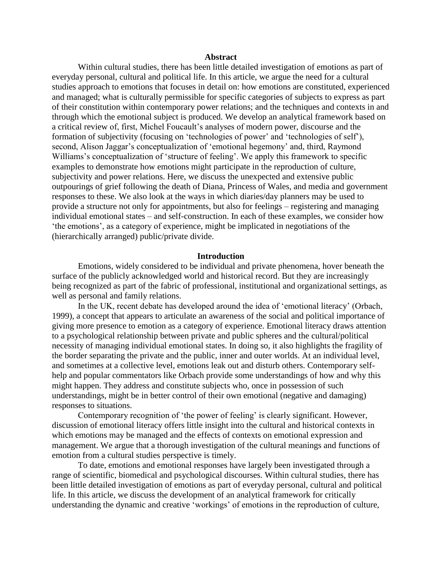#### **Abstract**

Within cultural studies, there has been little detailed investigation of emotions as part of everyday personal, cultural and political life. In this article, we argue the need for a cultural studies approach to emotions that focuses in detail on: how emotions are constituted, experienced and managed; what is culturally permissible for specific categories of subjects to express as part of their constitution within contemporary power relations; and the techniques and contexts in and through which the emotional subject is produced. We develop an analytical framework based on a critical review of, first, Michel Foucault's analyses of modern power, discourse and the formation of subjectivity (focusing on 'technologies of power' and 'technologies of self'), second, Alison Jaggar's conceptualization of 'emotional hegemony' and, third, Raymond Williams's conceptualization of 'structure of feeling'. We apply this framework to specific examples to demonstrate how emotions might participate in the reproduction of culture, subjectivity and power relations. Here, we discuss the unexpected and extensive public outpourings of grief following the death of Diana, Princess of Wales, and media and government responses to these. We also look at the ways in which diaries/day planners may be used to provide a structure not only for appointments, but also for feelings – registering and managing individual emotional states – and self-construction. In each of these examples, we consider how 'the emotions', as a category of experience, might be implicated in negotiations of the (hierarchically arranged) public/private divide.

#### **Introduction**

Emotions, widely considered to be individual and private phenomena, hover beneath the surface of the publicly acknowledged world and historical record. But they are increasingly being recognized as part of the fabric of professional, institutional and organizational settings, as well as personal and family relations.

In the UK, recent debate has developed around the idea of 'emotional literacy' (Orbach, 1999), a concept that appears to articulate an awareness of the social and political importance of giving more presence to emotion as a category of experience. Emotional literacy draws attention to a psychological relationship between private and public spheres and the cultural/political necessity of managing individual emotional states. In doing so, it also highlights the fragility of the border separating the private and the public, inner and outer worlds. At an individual level, and sometimes at a collective level, emotions leak out and disturb others. Contemporary selfhelp and popular commentators like Orbach provide some understandings of how and why this might happen. They address and constitute subjects who, once in possession of such understandings, might be in better control of their own emotional (negative and damaging) responses to situations.

Contemporary recognition of 'the power of feeling' is clearly significant. However, discussion of emotional literacy offers little insight into the cultural and historical contexts in which emotions may be managed and the effects of contexts on emotional expression and management. We argue that a thorough investigation of the cultural meanings and functions of emotion from a cultural studies perspective is timely.

To date, emotions and emotional responses have largely been investigated through a range of scientific, biomedical and psychological discourses. Within cultural studies, there has been little detailed investigation of emotions as part of everyday personal, cultural and political life. In this article, we discuss the development of an analytical framework for critically understanding the dynamic and creative 'workings' of emotions in the reproduction of culture,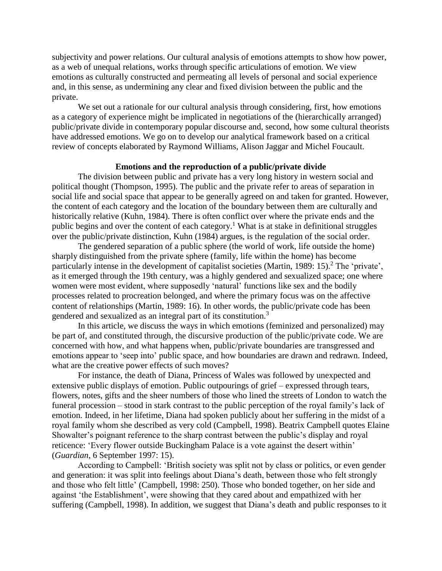subjectivity and power relations. Our cultural analysis of emotions attempts to show how power, as a web of unequal relations, works through specific articulations of emotion. We view emotions as culturally constructed and permeating all levels of personal and social experience and, in this sense, as undermining any clear and fixed division between the public and the private.

We set out a rationale for our cultural analysis through considering, first, how emotions as a category of experience might be implicated in negotiations of the (hierarchically arranged) public/private divide in contemporary popular discourse and, second, how some cultural theorists have addressed emotions. We go on to develop our analytical framework based on a critical review of concepts elaborated by Raymond Williams, Alison Jaggar and Michel Foucault.

## **Emotions and the reproduction of a public/private divide**

The division between public and private has a very long history in western social and political thought (Thompson, 1995). The public and the private refer to areas of separation in social life and social space that appear to be generally agreed on and taken for granted. However, the content of each category and the location of the boundary between them are culturally and historically relative (Kuhn, 1984). There is often conflict over where the private ends and the public begins and over the content of each category.<sup>1</sup> What is at stake in definitional struggles over the public/private distinction, Kuhn (1984) argues, is the regulation of the social order.

The gendered separation of a public sphere (the world of work, life outside the home) sharply distinguished from the private sphere (family, life within the home) has become particularly intense in the development of capitalist societies (Martin, 1989: 15). <sup>2</sup> The 'private', as it emerged through the 19th century, was a highly gendered and sexualized space; one where women were most evident, where supposedly 'natural' functions like sex and the bodily processes related to procreation belonged, and where the primary focus was on the affective content of relationships (Martin, 1989: 16). In other words, the public/private code has been gendered and sexualized as an integral part of its constitution.<sup>3</sup>

In this article, we discuss the ways in which emotions (feminized and personalized) may be part of, and constituted through, the discursive production of the public/private code. We are concerned with how, and what happens when, public/private boundaries are transgressed and emotions appear to 'seep into' public space, and how boundaries are drawn and redrawn. Indeed, what are the creative power effects of such moves?

For instance, the death of Diana, Princess of Wales was followed by unexpected and extensive public displays of emotion. Public outpourings of grief – expressed through tears, flowers, notes, gifts and the sheer numbers of those who lined the streets of London to watch the funeral procession – stood in stark contrast to the public perception of the royal family's lack of emotion. Indeed, in her lifetime, Diana had spoken publicly about her suffering in the midst of a royal family whom she described as very cold (Campbell, 1998). Beatrix Campbell quotes Elaine Showalter's poignant reference to the sharp contrast between the public's display and royal reticence: 'Every flower outside Buckingham Palace is a vote against the desert within' (*Guardian*, 6 September 1997: 15).

According to Campbell: 'British society was split not by class or politics, or even gender and generation: it was split into feelings about Diana's death, between those who felt strongly and those who felt little' (Campbell, 1998: 250). Those who bonded together, on her side and against 'the Establishment', were showing that they cared about and empathized with her suffering (Campbell, 1998). In addition, we suggest that Diana's death and public responses to it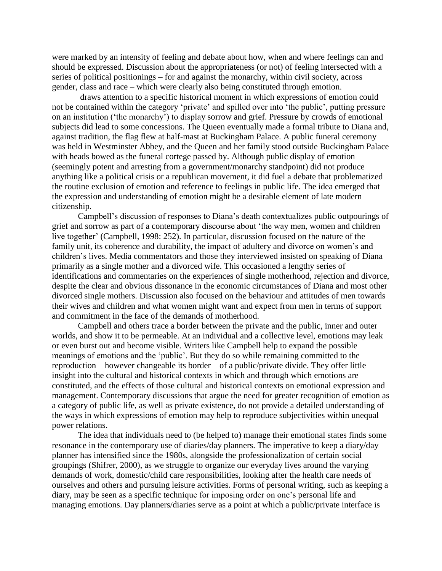were marked by an intensity of feeling and debate about how, when and where feelings can and should be expressed. Discussion about the appropriateness (or not) of feeling intersected with a series of political positionings – for and against the monarchy, within civil society, across gender, class and race – which were clearly also being constituted through emotion.

draws attention to a specific historical moment in which expressions of emotion could not be contained within the category 'private' and spilled over into 'the public', putting pressure on an institution ('the monarchy') to display sorrow and grief. Pressure by crowds of emotional subjects did lead to some concessions. The Queen eventually made a formal tribute to Diana and, against tradition, the flag flew at half-mast at Buckingham Palace. A public funeral ceremony was held in Westminster Abbey, and the Queen and her family stood outside Buckingham Palace with heads bowed as the funeral cortege passed by. Although public display of emotion (seemingly potent and arresting from a government/monarchy standpoint) did not produce anything like a political crisis or a republican movement, it did fuel a debate that problematized the routine exclusion of emotion and reference to feelings in public life. The idea emerged that the expression and understanding of emotion might be a desirable element of late modern citizenship.

Campbell's discussion of responses to Diana's death contextualizes public outpourings of grief and sorrow as part of a contemporary discourse about 'the way men, women and children live together' (Campbell, 1998: 252). In particular, discussion focused on the nature of the family unit, its coherence and durability, the impact of adultery and divorce on women's and children's lives. Media commentators and those they interviewed insisted on speaking of Diana primarily as a single mother and a divorced wife. This occasioned a lengthy series of identifications and commentaries on the experiences of single motherhood, rejection and divorce, despite the clear and obvious dissonance in the economic circumstances of Diana and most other divorced single mothers. Discussion also focused on the behaviour and attitudes of men towards their wives and children and what women might want and expect from men in terms of support and commitment in the face of the demands of motherhood.

Campbell and others trace a border between the private and the public, inner and outer worlds, and show it to be permeable. At an individual and a collective level, emotions may leak or even burst out and become visible. Writers like Campbell help to expand the possible meanings of emotions and the 'public'. But they do so while remaining committed to the reproduction – however changeable its border – of a public/private divide. They offer little insight into the cultural and historical contexts in which and through which emotions are constituted, and the effects of those cultural and historical contexts on emotional expression and management. Contemporary discussions that argue the need for greater recognition of emotion as a category of public life, as well as private existence, do not provide a detailed understanding of the ways in which expressions of emotion may help to reproduce subjectivities within unequal power relations.

The idea that individuals need to (be helped to) manage their emotional states finds some resonance in the contemporary use of diaries/day planners. The imperative to keep a diary/day planner has intensified since the 1980s, alongside the professionalization of certain social groupings (Shifrer, 2000), as we struggle to organize our everyday lives around the varying demands of work, domestic/child care responsibilities, looking after the health care needs of ourselves and others and pursuing leisure activities. Forms of personal writing, such as keeping a diary, may be seen as a specific technique for imposing order on one's personal life and managing emotions. Day planners/diaries serve as a point at which a public/private interface is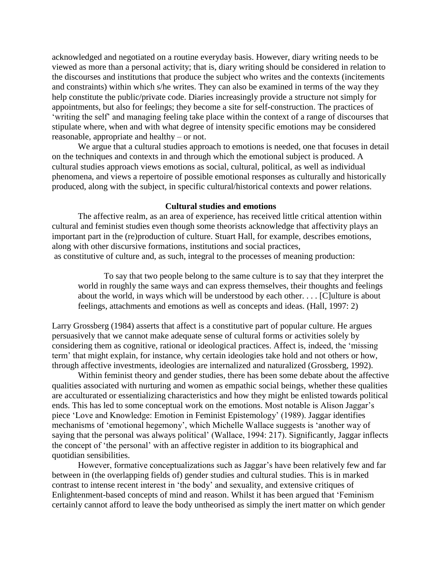acknowledged and negotiated on a routine everyday basis. However, diary writing needs to be viewed as more than a personal activity; that is, diary writing should be considered in relation to the discourses and institutions that produce the subject who writes and the contexts (incitements and constraints) within which s/he writes. They can also be examined in terms of the way they help constitute the public/private code. Diaries increasingly provide a structure not simply for appointments, but also for feelings; they become a site for self-construction. The practices of 'writing the self' and managing feeling take place within the context of a range of discourses that stipulate where, when and with what degree of intensity specific emotions may be considered reasonable, appropriate and healthy – or not.

We argue that a cultural studies approach to emotions is needed, one that focuses in detail on the techniques and contexts in and through which the emotional subject is produced. A cultural studies approach views emotions as social, cultural, political, as well as individual phenomena, and views a repertoire of possible emotional responses as culturally and historically produced, along with the subject, in specific cultural/historical contexts and power relations.

## **Cultural studies and emotions**

The affective realm, as an area of experience, has received little critical attention within cultural and feminist studies even though some theorists acknowledge that affectivity plays an important part in the (re)production of culture. Stuart Hall, for example, describes emotions, along with other discursive formations, institutions and social practices, as constitutive of culture and, as such, integral to the processes of meaning production:

To say that two people belong to the same culture is to say that they interpret the world in roughly the same ways and can express themselves, their thoughts and feelings about the world, in ways which will be understood by each other. . . . [C]ulture is about feelings, attachments and emotions as well as concepts and ideas. (Hall, 1997: 2)

Larry Grossberg (1984) asserts that affect is a constitutive part of popular culture. He argues persuasively that we cannot make adequate sense of cultural forms or activities solely by considering them as cognitive, rational or ideological practices. Affect is, indeed, the 'missing term' that might explain, for instance, why certain ideologies take hold and not others or how, through affective investments, ideologies are internalized and naturalized (Grossberg, 1992).

Within feminist theory and gender studies, there has been some debate about the affective qualities associated with nurturing and women as empathic social beings, whether these qualities are acculturated or essentializing characteristics and how they might be enlisted towards political ends. This has led to some conceptual work on the emotions. Most notable is Alison Jaggar's piece 'Love and Knowledge: Emotion in Feminist Epistemology' (1989). Jaggar identifies mechanisms of 'emotional hegemony', which Michelle Wallace suggests is 'another way of saying that the personal was always political' (Wallace, 1994: 217). Significantly, Jaggar inflects the concept of 'the personal' with an affective register in addition to its biographical and quotidian sensibilities.

However, formative conceptualizations such as Jaggar's have been relatively few and far between in (the overlapping fields of) gender studies and cultural studies. This is in marked contrast to intense recent interest in 'the body' and sexuality, and extensive critiques of Enlightenment-based concepts of mind and reason. Whilst it has been argued that 'Feminism certainly cannot afford to leave the body untheorised as simply the inert matter on which gender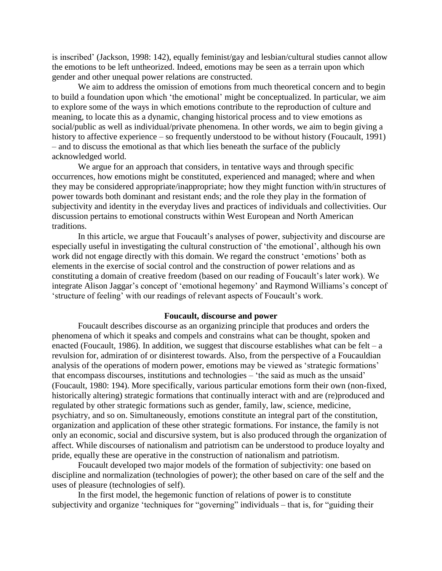is inscribed' (Jackson, 1998: 142), equally feminist/gay and lesbian/cultural studies cannot allow the emotions to be left untheorized. Indeed, emotions may be seen as a terrain upon which gender and other unequal power relations are constructed.

We aim to address the omission of emotions from much theoretical concern and to begin to build a foundation upon which 'the emotional' might be conceptualized. In particular, we aim to explore some of the ways in which emotions contribute to the reproduction of culture and meaning, to locate this as a dynamic, changing historical process and to view emotions as social/public as well as individual/private phenomena. In other words, we aim to begin giving a history to affective experience – so frequently understood to be without history (Foucault, 1991) – and to discuss the emotional as that which lies beneath the surface of the publicly acknowledged world.

We argue for an approach that considers, in tentative ways and through specific occurrences, how emotions might be constituted, experienced and managed; where and when they may be considered appropriate/inappropriate; how they might function with/in structures of power towards both dominant and resistant ends; and the role they play in the formation of subjectivity and identity in the everyday lives and practices of individuals and collectivities. Our discussion pertains to emotional constructs within West European and North American traditions.

In this article, we argue that Foucault's analyses of power, subjectivity and discourse are especially useful in investigating the cultural construction of 'the emotional', although his own work did not engage directly with this domain. We regard the construct 'emotions' both as elements in the exercise of social control and the construction of power relations and as constituting a domain of creative freedom (based on our reading of Foucault's later work). We integrate Alison Jaggar's concept of 'emotional hegemony' and Raymond Williams's concept of 'structure of feeling' with our readings of relevant aspects of Foucault's work.

#### **Foucault, discourse and power**

Foucault describes discourse as an organizing principle that produces and orders the phenomena of which it speaks and compels and constrains what can be thought, spoken and enacted (Foucault, 1986). In addition, we suggest that discourse establishes what can be felt – a revulsion for, admiration of or disinterest towards. Also, from the perspective of a Foucauldian analysis of the operations of modern power, emotions may be viewed as 'strategic formations' that encompass discourses, institutions and technologies – 'the said as much as the unsaid' (Foucault, 1980: 194). More specifically, various particular emotions form their own (non-fixed, historically altering) strategic formations that continually interact with and are (re)produced and regulated by other strategic formations such as gender, family, law, science, medicine, psychiatry, and so on. Simultaneously, emotions constitute an integral part of the constitution, organization and application of these other strategic formations. For instance, the family is not only an economic, social and discursive system, but is also produced through the organization of affect. While discourses of nationalism and patriotism can be understood to produce loyalty and pride, equally these are operative in the construction of nationalism and patriotism.

Foucault developed two major models of the formation of subjectivity: one based on discipline and normalization (technologies of power); the other based on care of the self and the uses of pleasure (technologies of self).

In the first model, the hegemonic function of relations of power is to constitute subjectivity and organize 'techniques for "governing" individuals – that is, for "guiding their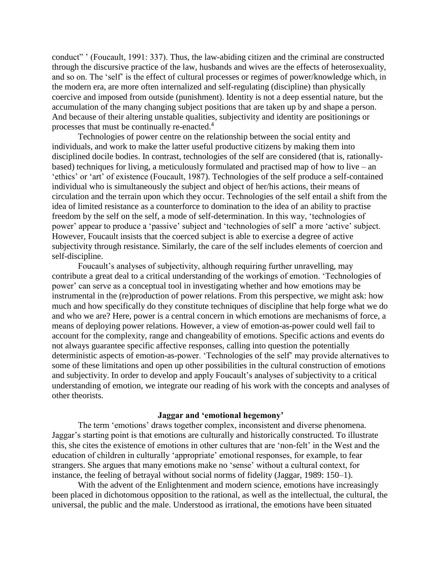conduct" ' (Foucault, 1991: 337). Thus, the law-abiding citizen and the criminal are constructed through the discursive practice of the law, husbands and wives are the effects of heterosexuality, and so on. The 'self' is the effect of cultural processes or regimes of power/knowledge which, in the modern era, are more often internalized and self-regulating (discipline) than physically coercive and imposed from outside (punishment). Identity is not a deep essential nature, but the accumulation of the many changing subject positions that are taken up by and shape a person. And because of their altering unstable qualities, subjectivity and identity are positionings or processes that must be continually re-enacted.<sup>4</sup>

Technologies of power centre on the relationship between the social entity and individuals, and work to make the latter useful productive citizens by making them into disciplined docile bodies. In contrast, technologies of the self are considered (that is, rationallybased) techniques for living, a meticulously formulated and practised map of how to live – an 'ethics' or 'art' of existence (Foucault, 1987). Technologies of the self produce a self-contained individual who is simultaneously the subject and object of her/his actions, their means of circulation and the terrain upon which they occur. Technologies of the self entail a shift from the idea of limited resistance as a counterforce to domination to the idea of an ability to practise freedom by the self on the self, a mode of self-determination. In this way, 'technologies of power' appear to produce a 'passive' subject and 'technologies of self' a more 'active' subject. However, Foucault insists that the coerced subject is able to exercise a degree of active subjectivity through resistance. Similarly, the care of the self includes elements of coercion and self-discipline.

Foucault's analyses of subjectivity, although requiring further unravelling, may contribute a great deal to a critical understanding of the workings of emotion. 'Technologies of power' can serve as a conceptual tool in investigating whether and how emotions may be instrumental in the (re)production of power relations. From this perspective, we might ask: how much and how specifically do they constitute techniques of discipline that help forge what we do and who we are? Here, power is a central concern in which emotions are mechanisms of force, a means of deploying power relations. However, a view of emotion-as-power could well fail to account for the complexity, range and changeability of emotions. Specific actions and events do not always guarantee specific affective responses, calling into question the potentially deterministic aspects of emotion-as-power. 'Technologies of the self' may provide alternatives to some of these limitations and open up other possibilities in the cultural construction of emotions and subjectivity. In order to develop and apply Foucault's analyses of subjectivity to a critical understanding of emotion, we integrate our reading of his work with the concepts and analyses of other theorists.

#### **Jaggar and 'emotional hegemony'**

The term 'emotions' draws together complex, inconsistent and diverse phenomena. Jaggar's starting point is that emotions are culturally and historically constructed. To illustrate this, she cites the existence of emotions in other cultures that are 'non-felt' in the West and the education of children in culturally 'appropriate' emotional responses, for example, to fear strangers. She argues that many emotions make no 'sense' without a cultural context, for instance, the feeling of betrayal without social norms of fidelity (Jaggar, 1989: 150–1).

With the advent of the Enlightenment and modern science, emotions have increasingly been placed in dichotomous opposition to the rational, as well as the intellectual, the cultural, the universal, the public and the male. Understood as irrational, the emotions have been situated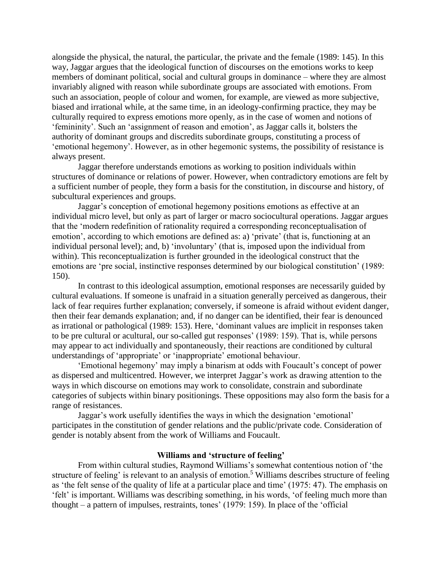alongside the physical, the natural, the particular, the private and the female (1989: 145). In this way, Jaggar argues that the ideological function of discourses on the emotions works to keep members of dominant political, social and cultural groups in dominance – where they are almost invariably aligned with reason while subordinate groups are associated with emotions. From such an association, people of colour and women, for example, are viewed as more subjective, biased and irrational while, at the same time, in an ideology-confirming practice, they may be culturally required to express emotions more openly, as in the case of women and notions of 'femininity'. Such an 'assignment of reason and emotion', as Jaggar calls it, bolsters the authority of dominant groups and discredits subordinate groups, constituting a process of 'emotional hegemony'. However, as in other hegemonic systems, the possibility of resistance is always present.

Jaggar therefore understands emotions as working to position individuals within structures of dominance or relations of power. However, when contradictory emotions are felt by a sufficient number of people, they form a basis for the constitution, in discourse and history, of subcultural experiences and groups.

Jaggar's conception of emotional hegemony positions emotions as effective at an individual micro level, but only as part of larger or macro sociocultural operations. Jaggar argues that the 'modern redefinition of rationality required a corresponding reconceptualisation of emotion', according to which emotions are defined as: a) 'private' (that is, functioning at an individual personal level); and, b) 'involuntary' (that is, imposed upon the individual from within). This reconceptualization is further grounded in the ideological construct that the emotions are 'pre social, instinctive responses determined by our biological constitution' (1989: 150).

In contrast to this ideological assumption, emotional responses are necessarily guided by cultural evaluations. If someone is unafraid in a situation generally perceived as dangerous, their lack of fear requires further explanation; conversely, if someone is afraid without evident danger, then their fear demands explanation; and, if no danger can be identified, their fear is denounced as irrational or pathological (1989: 153). Here, 'dominant values are implicit in responses taken to be pre cultural or acultural, our so-called gut responses' (1989: 159). That is, while persons may appear to act individually and spontaneously, their reactions are conditioned by cultural understandings of 'appropriate' or 'inappropriate' emotional behaviour.

'Emotional hegemony' may imply a binarism at odds with Foucault's concept of power as dispersed and multicentred. However, we interpret Jaggar's work as drawing attention to the ways in which discourse on emotions may work to consolidate, constrain and subordinate categories of subjects within binary positionings. These oppositions may also form the basis for a range of resistances.

Jaggar's work usefully identifies the ways in which the designation 'emotional' participates in the constitution of gender relations and the public/private code. Consideration of gender is notably absent from the work of Williams and Foucault.

#### **Williams and 'structure of feeling'**

From within cultural studies, Raymond Williams's somewhat contentious notion of 'the structure of feeling' is relevant to an analysis of emotion.<sup>5</sup> Williams describes structure of feeling as 'the felt sense of the quality of life at a particular place and time' (1975: 47). The emphasis on 'felt' is important. Williams was describing something, in his words, 'of feeling much more than thought – a pattern of impulses, restraints, tones' (1979: 159). In place of the 'official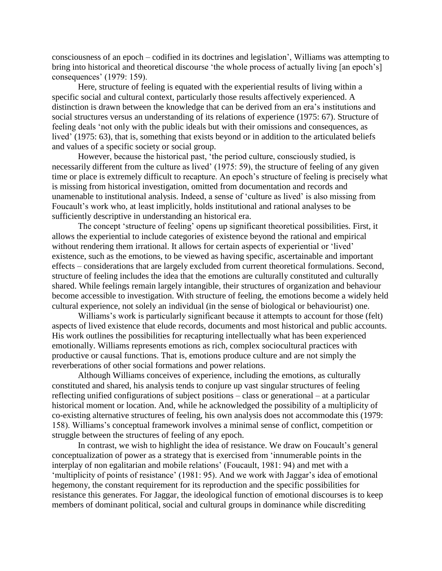consciousness of an epoch – codified in its doctrines and legislation', Williams was attempting to bring into historical and theoretical discourse 'the whole process of actually living [an epoch's] consequences' (1979: 159).

Here, structure of feeling is equated with the experiential results of living within a specific social and cultural context, particularly those results affectively experienced. A distinction is drawn between the knowledge that can be derived from an era's institutions and social structures versus an understanding of its relations of experience (1975: 67). Structure of feeling deals 'not only with the public ideals but with their omissions and consequences, as lived' (1975: 63), that is, something that exists beyond or in addition to the articulated beliefs and values of a specific society or social group.

However, because the historical past, 'the period culture, consciously studied, is necessarily different from the culture as lived' (1975: 59), the structure of feeling of any given time or place is extremely difficult to recapture. An epoch's structure of feeling is precisely what is missing from historical investigation, omitted from documentation and records and unamenable to institutional analysis. Indeed, a sense of 'culture as lived' is also missing from Foucault's work who, at least implicitly, holds institutional and rational analyses to be sufficiently descriptive in understanding an historical era.

The concept 'structure of feeling' opens up significant theoretical possibilities. First, it allows the experiential to include categories of existence beyond the rational and empirical without rendering them irrational. It allows for certain aspects of experiential or 'lived' existence, such as the emotions, to be viewed as having specific, ascertainable and important effects – considerations that are largely excluded from current theoretical formulations. Second, structure of feeling includes the idea that the emotions are culturally constituted and culturally shared. While feelings remain largely intangible, their structures of organization and behaviour become accessible to investigation. With structure of feeling, the emotions become a widely held cultural experience, not solely an individual (in the sense of biological or behaviourist) one.

Williams's work is particularly significant because it attempts to account for those (felt) aspects of lived existence that elude records, documents and most historical and public accounts. His work outlines the possibilities for recapturing intellectually what has been experienced emotionally. Williams represents emotions as rich, complex sociocultural practices with productive or causal functions. That is, emotions produce culture and are not simply the reverberations of other social formations and power relations.

Although Williams conceives of experience, including the emotions, as culturally constituted and shared, his analysis tends to conjure up vast singular structures of feeling reflecting unified configurations of subject positions – class or generational – at a particular historical moment or location. And, while he acknowledged the possibility of a multiplicity of co-existing alternative structures of feeling, his own analysis does not accommodate this (1979: 158). Williams's conceptual framework involves a minimal sense of conflict, competition or struggle between the structures of feeling of any epoch.

In contrast, we wish to highlight the idea of resistance. We draw on Foucault's general conceptualization of power as a strategy that is exercised from 'innumerable points in the interplay of non egalitarian and mobile relations' (Foucault, 1981: 94) and met with a 'multiplicity of points of resistance' (1981: 95). And we work with Jaggar's idea of emotional hegemony, the constant requirement for its reproduction and the specific possibilities for resistance this generates. For Jaggar, the ideological function of emotional discourses is to keep members of dominant political, social and cultural groups in dominance while discrediting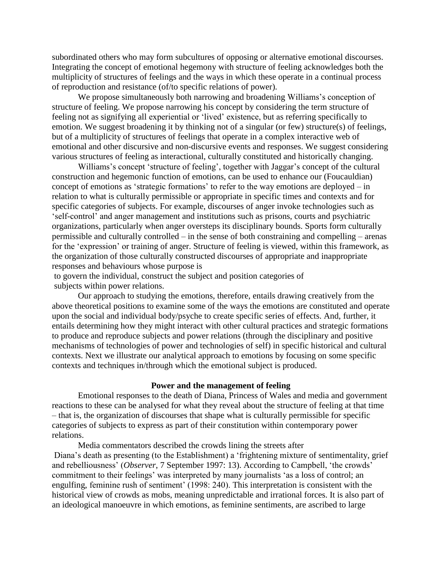subordinated others who may form subcultures of opposing or alternative emotional discourses. Integrating the concept of emotional hegemony with structure of feeling acknowledges both the multiplicity of structures of feelings and the ways in which these operate in a continual process of reproduction and resistance (of/to specific relations of power).

We propose simultaneously both narrowing and broadening Williams's conception of structure of feeling. We propose narrowing his concept by considering the term structure of feeling not as signifying all experiential or 'lived' existence, but as referring specifically to emotion. We suggest broadening it by thinking not of a singular (or few) structure(s) of feelings, but of a multiplicity of structures of feelings that operate in a complex interactive web of emotional and other discursive and non-discursive events and responses. We suggest considering various structures of feeling as interactional, culturally constituted and historically changing.

Williams's concept 'structure of feeling', together with Jaggar's concept of the cultural construction and hegemonic function of emotions, can be used to enhance our (Foucauldian) concept of emotions as 'strategic formations' to refer to the way emotions are deployed – in relation to what is culturally permissible or appropriate in specific times and contexts and for specific categories of subjects. For example, discourses of anger invoke technologies such as 'self-control' and anger management and institutions such as prisons, courts and psychiatric organizations, particularly when anger oversteps its disciplinary bounds. Sports form culturally permissible and culturally controlled – in the sense of both constraining and compelling – arenas for the 'expression' or training of anger. Structure of feeling is viewed, within this framework, as the organization of those culturally constructed discourses of appropriate and inappropriate responses and behaviours whose purpose is

to govern the individual, construct the subject and position categories of subjects within power relations.

Our approach to studying the emotions, therefore, entails drawing creatively from the above theoretical positions to examine some of the ways the emotions are constituted and operate upon the social and individual body/psyche to create specific series of effects. And, further, it entails determining how they might interact with other cultural practices and strategic formations to produce and reproduce subjects and power relations (through the disciplinary and positive mechanisms of technologies of power and technologies of self) in specific historical and cultural contexts. Next we illustrate our analytical approach to emotions by focusing on some specific contexts and techniques in/through which the emotional subject is produced.

### **Power and the management of feeling**

Emotional responses to the death of Diana, Princess of Wales and media and government reactions to these can be analysed for what they reveal about the structure of feeling at that time – that is, the organization of discourses that shape what is culturally permissible for specific categories of subjects to express as part of their constitution within contemporary power relations.

Media commentators described the crowds lining the streets after Diana's death as presenting (to the Establishment) a 'frightening mixture of sentimentality, grief and rebelliousness' (*Observer*, 7 September 1997: 13). According to Campbell, 'the crowds' commitment to their feelings' was interpreted by many journalists 'as a loss of control; an engulfing, feminine rush of sentiment' (1998: 240). This interpretation is consistent with the historical view of crowds as mobs, meaning unpredictable and irrational forces. It is also part of an ideological manoeuvre in which emotions, as feminine sentiments, are ascribed to large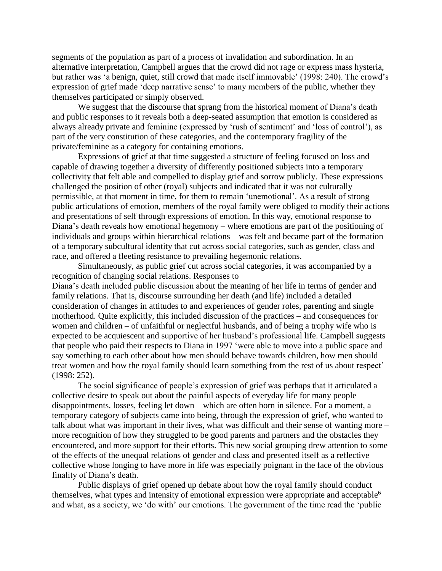segments of the population as part of a process of invalidation and subordination. In an alternative interpretation, Campbell argues that the crowd did not rage or express mass hysteria, but rather was 'a benign, quiet, still crowd that made itself immovable' (1998: 240). The crowd's expression of grief made 'deep narrative sense' to many members of the public, whether they themselves participated or simply observed.

We suggest that the discourse that sprang from the historical moment of Diana's death and public responses to it reveals both a deep-seated assumption that emotion is considered as always already private and feminine (expressed by 'rush of sentiment' and 'loss of control'), as part of the very constitution of these categories, and the contemporary fragility of the private/feminine as a category for containing emotions.

Expressions of grief at that time suggested a structure of feeling focused on loss and capable of drawing together a diversity of differently positioned subjects into a temporary collectivity that felt able and compelled to display grief and sorrow publicly. These expressions challenged the position of other (royal) subjects and indicated that it was not culturally permissible, at that moment in time, for them to remain 'unemotional'. As a result of strong public articulations of emotion, members of the royal family were obliged to modify their actions and presentations of self through expressions of emotion. In this way, emotional response to Diana's death reveals how emotional hegemony – where emotions are part of the positioning of individuals and groups within hierarchical relations – was felt and became part of the formation of a temporary subcultural identity that cut across social categories, such as gender, class and race, and offered a fleeting resistance to prevailing hegemonic relations.

Simultaneously, as public grief cut across social categories, it was accompanied by a recognition of changing social relations. Responses to Diana's death included public discussion about the meaning of her life in terms of gender and family relations. That is, discourse surrounding her death (and life) included a detailed consideration of changes in attitudes to and experiences of gender roles, parenting and single motherhood. Quite explicitly, this included discussion of the practices – and consequences for women and children – of unfaithful or neglectful husbands, and of being a trophy wife who is expected to be acquiescent and supportive of her husband's professional life. Campbell suggests that people who paid their respects to Diana in 1997 'were able to move into a public space and say something to each other about how men should behave towards children, how men should treat women and how the royal family should learn something from the rest of us about respect' (1998: 252).

The social significance of people's expression of grief was perhaps that it articulated a collective desire to speak out about the painful aspects of everyday life for many people – disappointments, losses, feeling let down – which are often born in silence. For a moment, a temporary category of subjects came into being, through the expression of grief, who wanted to talk about what was important in their lives, what was difficult and their sense of wanting more – more recognition of how they struggled to be good parents and partners and the obstacles they encountered, and more support for their efforts. This new social grouping drew attention to some of the effects of the unequal relations of gender and class and presented itself as a reflective collective whose longing to have more in life was especially poignant in the face of the obvious finality of Diana's death.

Public displays of grief opened up debate about how the royal family should conduct themselves, what types and intensity of emotional expression were appropriate and acceptable<sup>6</sup> and what, as a society, we 'do with' our emotions. The government of the time read the 'public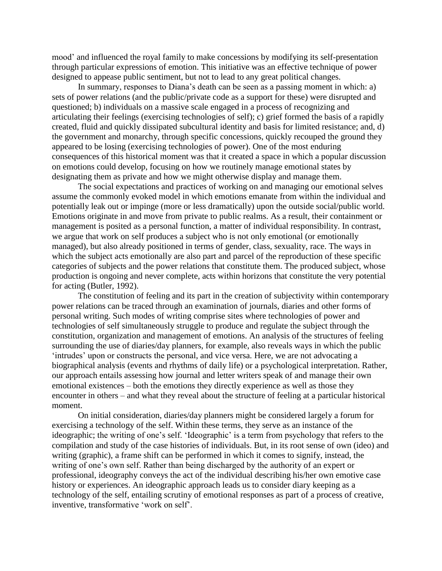mood' and influenced the royal family to make concessions by modifying its self-presentation through particular expressions of emotion. This initiative was an effective technique of power designed to appease public sentiment, but not to lead to any great political changes.

In summary, responses to Diana's death can be seen as a passing moment in which: a) sets of power relations (and the public/private code as a support for these) were disrupted and questioned; b) individuals on a massive scale engaged in a process of recognizing and articulating their feelings (exercising technologies of self); c) grief formed the basis of a rapidly created, fluid and quickly dissipated subcultural identity and basis for limited resistance; and, d) the government and monarchy, through specific concessions, quickly recouped the ground they appeared to be losing (exercising technologies of power). One of the most enduring consequences of this historical moment was that it created a space in which a popular discussion on emotions could develop, focusing on how we routinely manage emotional states by designating them as private and how we might otherwise display and manage them.

The social expectations and practices of working on and managing our emotional selves assume the commonly evoked model in which emotions emanate from within the individual and potentially leak out or impinge (more or less dramatically) upon the outside social/public world. Emotions originate in and move from private to public realms. As a result, their containment or management is posited as a personal function, a matter of individual responsibility. In contrast, we argue that work on self produces a subject who is not only emotional (or emotionally managed), but also already positioned in terms of gender, class, sexuality, race. The ways in which the subject acts emotionally are also part and parcel of the reproduction of these specific categories of subjects and the power relations that constitute them. The produced subject, whose production is ongoing and never complete, acts within horizons that constitute the very potential for acting (Butler, 1992).

The constitution of feeling and its part in the creation of subjectivity within contemporary power relations can be traced through an examination of journals, diaries and other forms of personal writing. Such modes of writing comprise sites where technologies of power and technologies of self simultaneously struggle to produce and regulate the subject through the constitution, organization and management of emotions. An analysis of the structures of feeling surrounding the use of diaries/day planners, for example, also reveals ways in which the public 'intrudes' upon or constructs the personal, and vice versa. Here, we are not advocating a biographical analysis (events and rhythms of daily life) or a psychological interpretation. Rather, our approach entails assessing how journal and letter writers speak of and manage their own emotional existences – both the emotions they directly experience as well as those they encounter in others – and what they reveal about the structure of feeling at a particular historical moment.

On initial consideration, diaries/day planners might be considered largely a forum for exercising a technology of the self. Within these terms, they serve as an instance of the ideographic; the writing of one's self. 'Ideographic' is a term from psychology that refers to the compilation and study of the case histories of individuals. But, in its root sense of own (ideo) and writing (graphic), a frame shift can be performed in which it comes to signify, instead, the writing of one's own self. Rather than being discharged by the authority of an expert or professional, ideography conveys the act of the individual describing his/her own emotive case history or experiences. An ideographic approach leads us to consider diary keeping as a technology of the self, entailing scrutiny of emotional responses as part of a process of creative, inventive, transformative 'work on self'.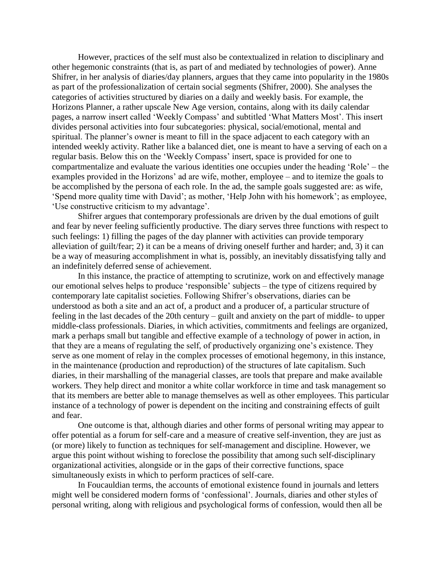However, practices of the self must also be contextualized in relation to disciplinary and other hegemonic constraints (that is, as part of and mediated by technologies of power). Anne Shifrer, in her analysis of diaries/day planners, argues that they came into popularity in the 1980s as part of the professionalization of certain social segments (Shifrer, 2000). She analyses the categories of activities structured by diaries on a daily and weekly basis. For example, the Horizons Planner, a rather upscale New Age version, contains, along with its daily calendar pages, a narrow insert called 'Weekly Compass' and subtitled 'What Matters Most'. This insert divides personal activities into four subcategories: physical, social/emotional, mental and spiritual. The planner's owner is meant to fill in the space adjacent to each category with an intended weekly activity. Rather like a balanced diet, one is meant to have a serving of each on a regular basis. Below this on the 'Weekly Compass' insert, space is provided for one to compartmentalize and evaluate the various identities one occupies under the heading 'Role' – the examples provided in the Horizons' ad are wife, mother, employee – and to itemize the goals to be accomplished by the persona of each role. In the ad, the sample goals suggested are: as wife, 'Spend more quality time with David'; as mother, 'Help John with his homework'; as employee, 'Use constructive criticism to my advantage'.

Shifrer argues that contemporary professionals are driven by the dual emotions of guilt and fear by never feeling sufficiently productive. The diary serves three functions with respect to such feelings: 1) filling the pages of the day planner with activities can provide temporary alleviation of guilt/fear; 2) it can be a means of driving oneself further and harder; and, 3) it can be a way of measuring accomplishment in what is, possibly, an inevitably dissatisfying tally and an indefinitely deferred sense of achievement.

In this instance, the practice of attempting to scrutinize, work on and effectively manage our emotional selves helps to produce 'responsible' subjects – the type of citizens required by contemporary late capitalist societies. Following Shifrer's observations, diaries can be understood as both a site and an act of, a product and a producer of, a particular structure of feeling in the last decades of the 20th century – guilt and anxiety on the part of middle- to upper middle-class professionals. Diaries, in which activities, commitments and feelings are organized, mark a perhaps small but tangible and effective example of a technology of power in action, in that they are a means of regulating the self, of productively organizing one's existence. They serve as one moment of relay in the complex processes of emotional hegemony, in this instance, in the maintenance (production and reproduction) of the structures of late capitalism. Such diaries, in their marshalling of the managerial classes, are tools that prepare and make available workers. They help direct and monitor a white collar workforce in time and task management so that its members are better able to manage themselves as well as other employees. This particular instance of a technology of power is dependent on the inciting and constraining effects of guilt and fear.

One outcome is that, although diaries and other forms of personal writing may appear to offer potential as a forum for self-care and a measure of creative self-invention, they are just as (or more) likely to function as techniques for self-management and discipline. However, we argue this point without wishing to foreclose the possibility that among such self-disciplinary organizational activities, alongside or in the gaps of their corrective functions, space simultaneously exists in which to perform practices of self-care.

In Foucauldian terms, the accounts of emotional existence found in journals and letters might well be considered modern forms of 'confessional'. Journals, diaries and other styles of personal writing, along with religious and psychological forms of confession, would then all be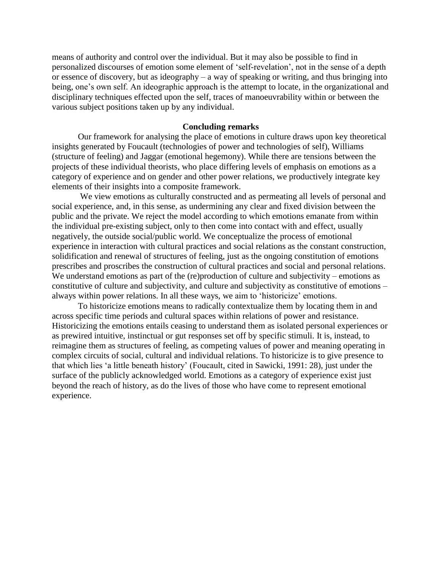means of authority and control over the individual. But it may also be possible to find in personalized discourses of emotion some element of 'self-revelation', not in the sense of a depth or essence of discovery, but as ideography – a way of speaking or writing, and thus bringing into being, one's own self. An ideographic approach is the attempt to locate, in the organizational and disciplinary techniques effected upon the self, traces of manoeuvrability within or between the various subject positions taken up by any individual.

## **Concluding remarks**

Our framework for analysing the place of emotions in culture draws upon key theoretical insights generated by Foucault (technologies of power and technologies of self), Williams (structure of feeling) and Jaggar (emotional hegemony). While there are tensions between the projects of these individual theorists, who place differing levels of emphasis on emotions as a category of experience and on gender and other power relations, we productively integrate key elements of their insights into a composite framework.

We view emotions as culturally constructed and as permeating all levels of personal and social experience, and, in this sense, as undermining any clear and fixed division between the public and the private. We reject the model according to which emotions emanate from within the individual pre-existing subject, only to then come into contact with and effect, usually negatively, the outside social/public world. We conceptualize the process of emotional experience in interaction with cultural practices and social relations as the constant construction, solidification and renewal of structures of feeling, just as the ongoing constitution of emotions prescribes and proscribes the construction of cultural practices and social and personal relations. We understand emotions as part of the (re)production of culture and subjectivity – emotions as constitutive of culture and subjectivity, and culture and subjectivity as constitutive of emotions – always within power relations. In all these ways, we aim to 'historicize' emotions.

To historicize emotions means to radically contextualize them by locating them in and across specific time periods and cultural spaces within relations of power and resistance. Historicizing the emotions entails ceasing to understand them as isolated personal experiences or as prewired intuitive, instinctual or gut responses set off by specific stimuli. It is, instead, to reimagine them as structures of feeling, as competing values of power and meaning operating in complex circuits of social, cultural and individual relations. To historicize is to give presence to that which lies 'a little beneath history' (Foucault, cited in Sawicki, 1991: 28), just under the surface of the publicly acknowledged world. Emotions as a category of experience exist just beyond the reach of history, as do the lives of those who have come to represent emotional experience.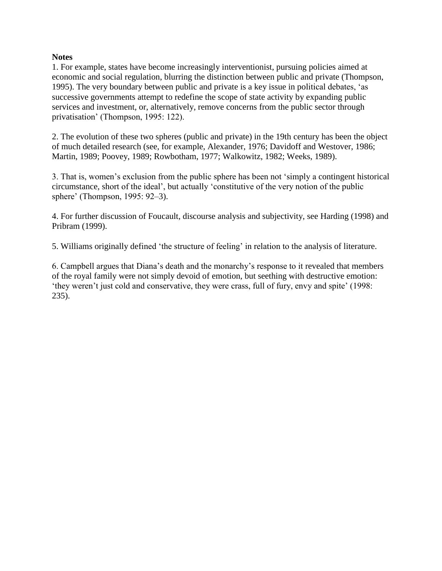# **Notes**

1. For example, states have become increasingly interventionist, pursuing policies aimed at economic and social regulation, blurring the distinction between public and private (Thompson, 1995). The very boundary between public and private is a key issue in political debates, 'as successive governments attempt to redefine the scope of state activity by expanding public services and investment, or, alternatively, remove concerns from the public sector through privatisation' (Thompson, 1995: 122).

2. The evolution of these two spheres (public and private) in the 19th century has been the object of much detailed research (see, for example, Alexander, 1976; Davidoff and Westover, 1986; Martin, 1989; Poovey, 1989; Rowbotham, 1977; Walkowitz, 1982; Weeks, 1989).

3. That is, women's exclusion from the public sphere has been not 'simply a contingent historical circumstance, short of the ideal', but actually 'constitutive of the very notion of the public sphere' (Thompson, 1995: 92–3).

4. For further discussion of Foucault, discourse analysis and subjectivity, see Harding (1998) and Pribram (1999).

5. Williams originally defined 'the structure of feeling' in relation to the analysis of literature.

6. Campbell argues that Diana's death and the monarchy's response to it revealed that members of the royal family were not simply devoid of emotion, but seething with destructive emotion: 'they weren't just cold and conservative, they were crass, full of fury, envy and spite' (1998: 235).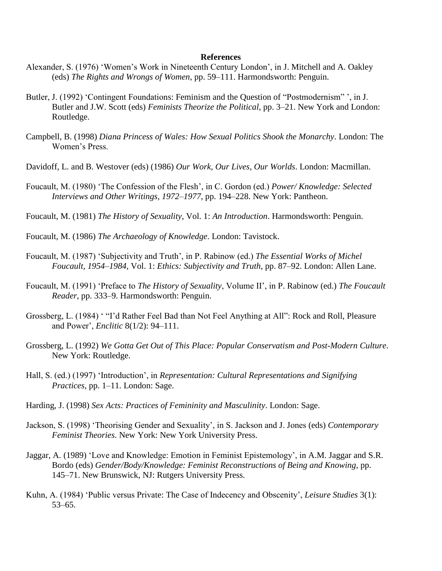### **References**

- Alexander, S. (1976) 'Women's Work in Nineteenth Century London', in J. Mitchell and A. Oakley (eds) *The Rights and Wrongs of Women*, pp. 59–111. Harmondsworth: Penguin.
- Butler, J. (1992) 'Contingent Foundations: Feminism and the Question of "Postmodernism" ', in J. Butler and J.W. Scott (eds) *Feminists Theorize the Political*, pp. 3–21. New York and London: Routledge.
- Campbell, B. (1998) *Diana Princess of Wales: How Sexual Politics Shook the Monarchy*. London: The Women's Press.
- Davidoff, L. and B. Westover (eds) (1986) *Our Work, Our Lives, Our Worlds*. London: Macmillan.
- Foucault, M. (1980) 'The Confession of the Flesh', in C. Gordon (ed.) *Power/ Knowledge: Selected Interviews and Other Writings, 1972–1977*, pp. 194–228. New York: Pantheon.
- Foucault, M. (1981) *The History of Sexuality*, Vol. 1: *An Introduction*. Harmondsworth: Penguin.
- Foucault, M. (1986) *The Archaeology of Knowledge*. London: Tavistock.
- Foucault, M. (1987) 'Subjectivity and Truth', in P. Rabinow (ed.) *The Essential Works of Michel Foucault, 1954–1984*, Vol. 1: *Ethics: Subjectivity and Truth*, pp. 87–92. London: Allen Lane.
- Foucault, M. (1991) 'Preface to *The History of Sexuality*, Volume II', in P. Rabinow (ed.) *The Foucault Reader*, pp. 333–9. Harmondsworth: Penguin.
- Grossberg, L. (1984) ' "I'd Rather Feel Bad than Not Feel Anything at All": Rock and Roll, Pleasure and Power', *Enclitic* 8(1/2): 94–111.
- Grossberg, L. (1992) *We Gotta Get Out of This Place: Popular Conservatism and Post-Modern Culture*. New York: Routledge.
- Hall, S. (ed.) (1997) 'Introduction', in *Representation: Cultural Representations and Signifying Practices*, pp. 1–11. London: Sage.
- Harding, J. (1998) *Sex Acts: Practices of Femininity and Masculinity*. London: Sage.
- Jackson, S. (1998) 'Theorising Gender and Sexuality', in S. Jackson and J. Jones (eds) *Contemporary Feminist Theories*. New York: New York University Press.
- Jaggar, A. (1989) 'Love and Knowledge: Emotion in Feminist Epistemology', in A.M. Jaggar and S.R. Bordo (eds) *Gender/Body/Knowledge: Feminist Reconstructions of Being and Knowing*, pp. 145–71. New Brunswick, NJ: Rutgers University Press.
- Kuhn, A. (1984) 'Public versus Private: The Case of Indecency and Obscenity', *Leisure Studies* 3(1): 53–65.